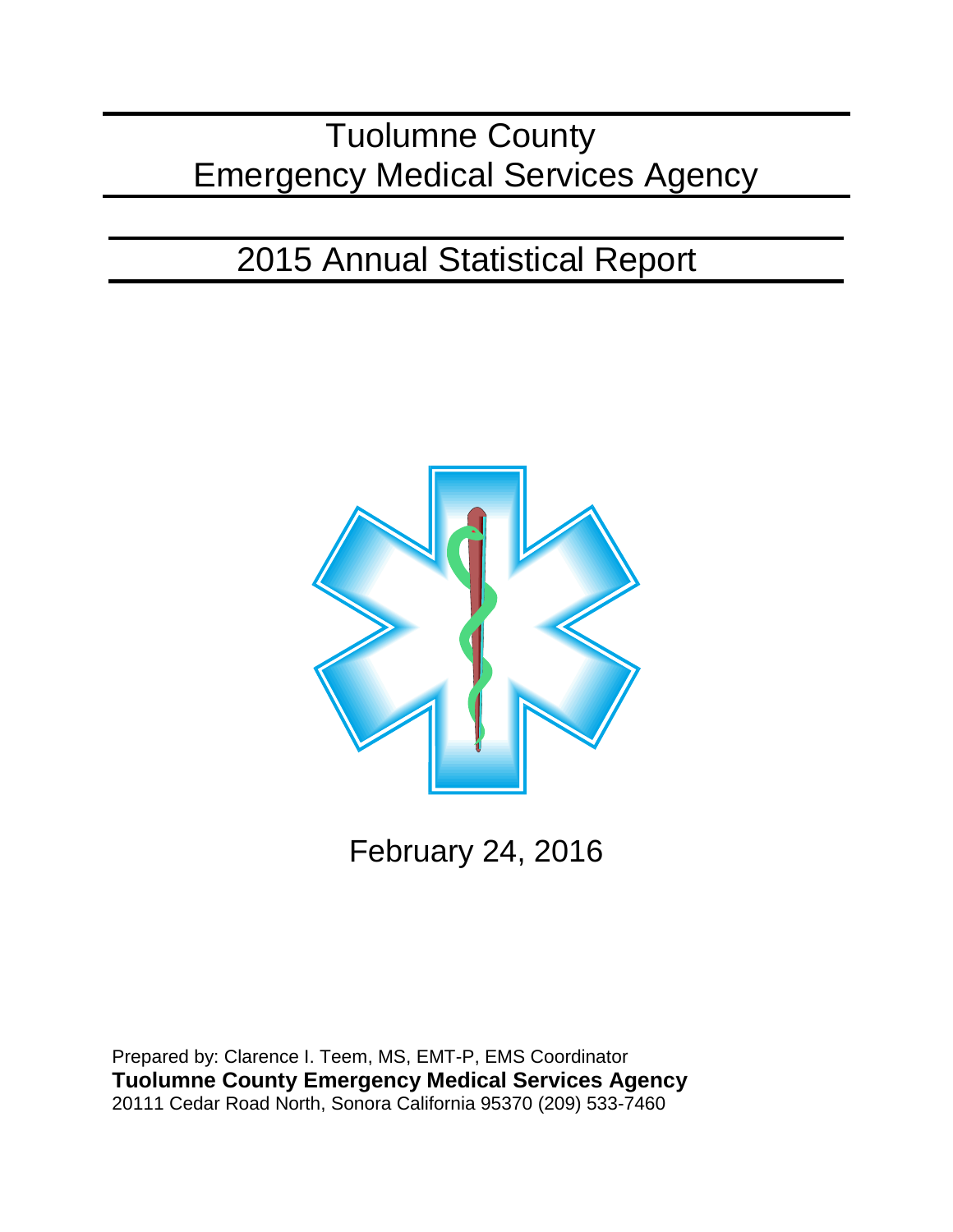# Tuolumne County Emergency Medical Services Agency

# 2015 Annual Statistical Report



February 24, 2016

Prepared by: Clarence I. Teem, MS, EMT-P, EMS Coordinator **Tuolumne County Emergency Medical Services Agency** 20111 Cedar Road North, Sonora California 95370 (209) 533-7460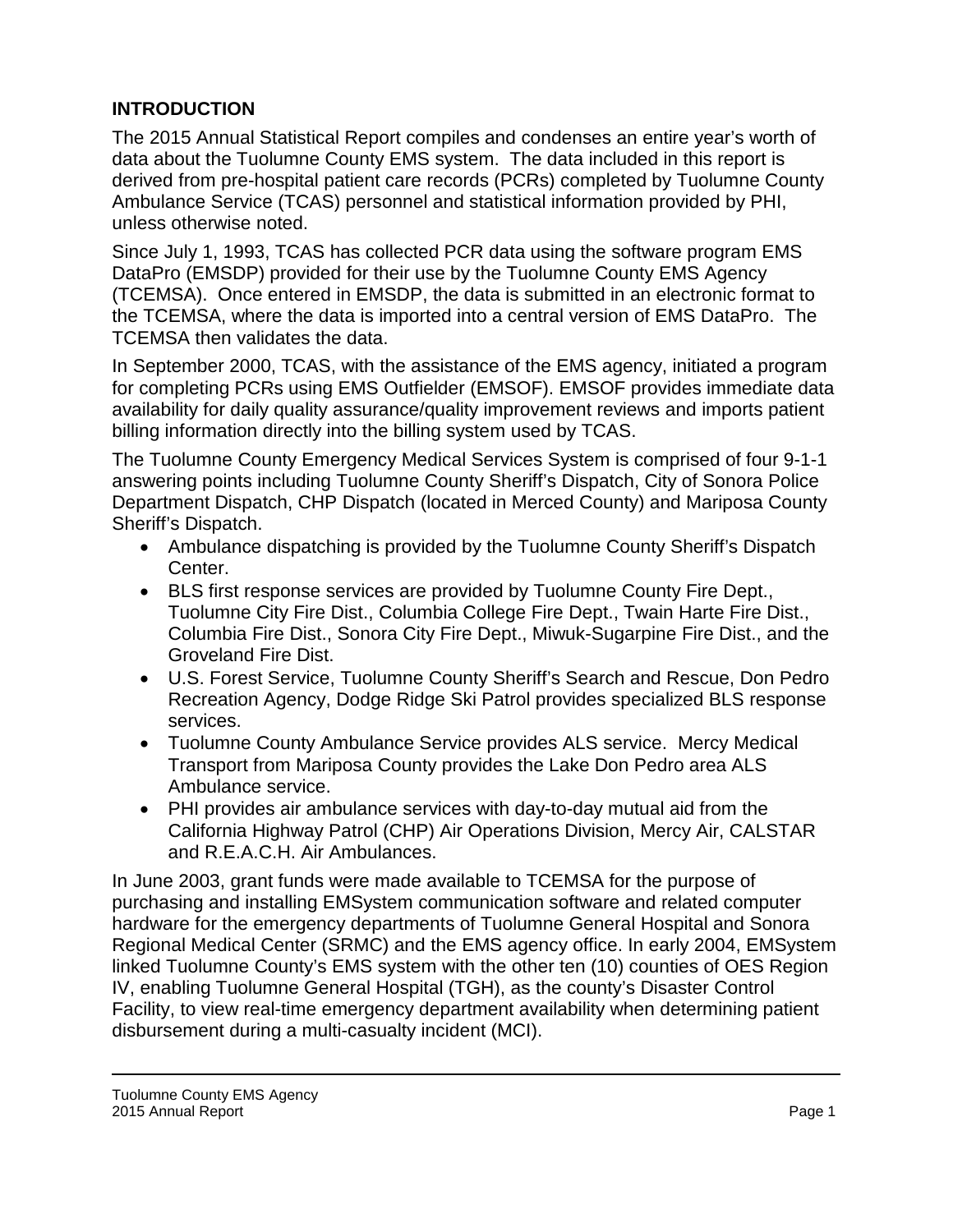# **INTRODUCTION**

The 2015 Annual Statistical Report compiles and condenses an entire year's worth of data about the Tuolumne County EMS system. The data included in this report is derived from pre-hospital patient care records (PCRs) completed by Tuolumne County Ambulance Service (TCAS) personnel and statistical information provided by PHI, unless otherwise noted.

Since July 1, 1993, TCAS has collected PCR data using the software program EMS DataPro (EMSDP) provided for their use by the Tuolumne County EMS Agency (TCEMSA). Once entered in EMSDP, the data is submitted in an electronic format to the TCEMSA, where the data is imported into a central version of EMS DataPro. The TCEMSA then validates the data.

In September 2000, TCAS, with the assistance of the EMS agency, initiated a program for completing PCRs using EMS Outfielder (EMSOF). EMSOF provides immediate data availability for daily quality assurance/quality improvement reviews and imports patient billing information directly into the billing system used by TCAS.

The Tuolumne County Emergency Medical Services System is comprised of four 9-1-1 answering points including Tuolumne County Sheriff's Dispatch, City of Sonora Police Department Dispatch, CHP Dispatch (located in Merced County) and Mariposa County Sheriff's Dispatch.

- Ambulance dispatching is provided by the Tuolumne County Sheriff's Dispatch Center.
- BLS first response services are provided by Tuolumne County Fire Dept., Tuolumne City Fire Dist., Columbia College Fire Dept., Twain Harte Fire Dist., Columbia Fire Dist., Sonora City Fire Dept., Miwuk-Sugarpine Fire Dist., and the Groveland Fire Dist.
- U.S. Forest Service, Tuolumne County Sheriff's Search and Rescue, Don Pedro Recreation Agency, Dodge Ridge Ski Patrol provides specialized BLS response services.
- Tuolumne County Ambulance Service provides ALS service. Mercy Medical Transport from Mariposa County provides the Lake Don Pedro area ALS Ambulance service.
- PHI provides air ambulance services with day-to-day mutual aid from the California Highway Patrol (CHP) Air Operations Division, Mercy Air, CALSTAR and R.E.A.C.H. Air Ambulances.

In June 2003, grant funds were made available to TCEMSA for the purpose of purchasing and installing EMSystem communication software and related computer hardware for the emergency departments of Tuolumne General Hospital and Sonora Regional Medical Center (SRMC) and the EMS agency office. In early 2004, EMSystem linked Tuolumne County's EMS system with the other ten (10) counties of OES Region IV, enabling Tuolumne General Hospital (TGH), as the county's Disaster Control Facility, to view real-time emergency department availability when determining patient disbursement during a multi-casualty incident (MCI).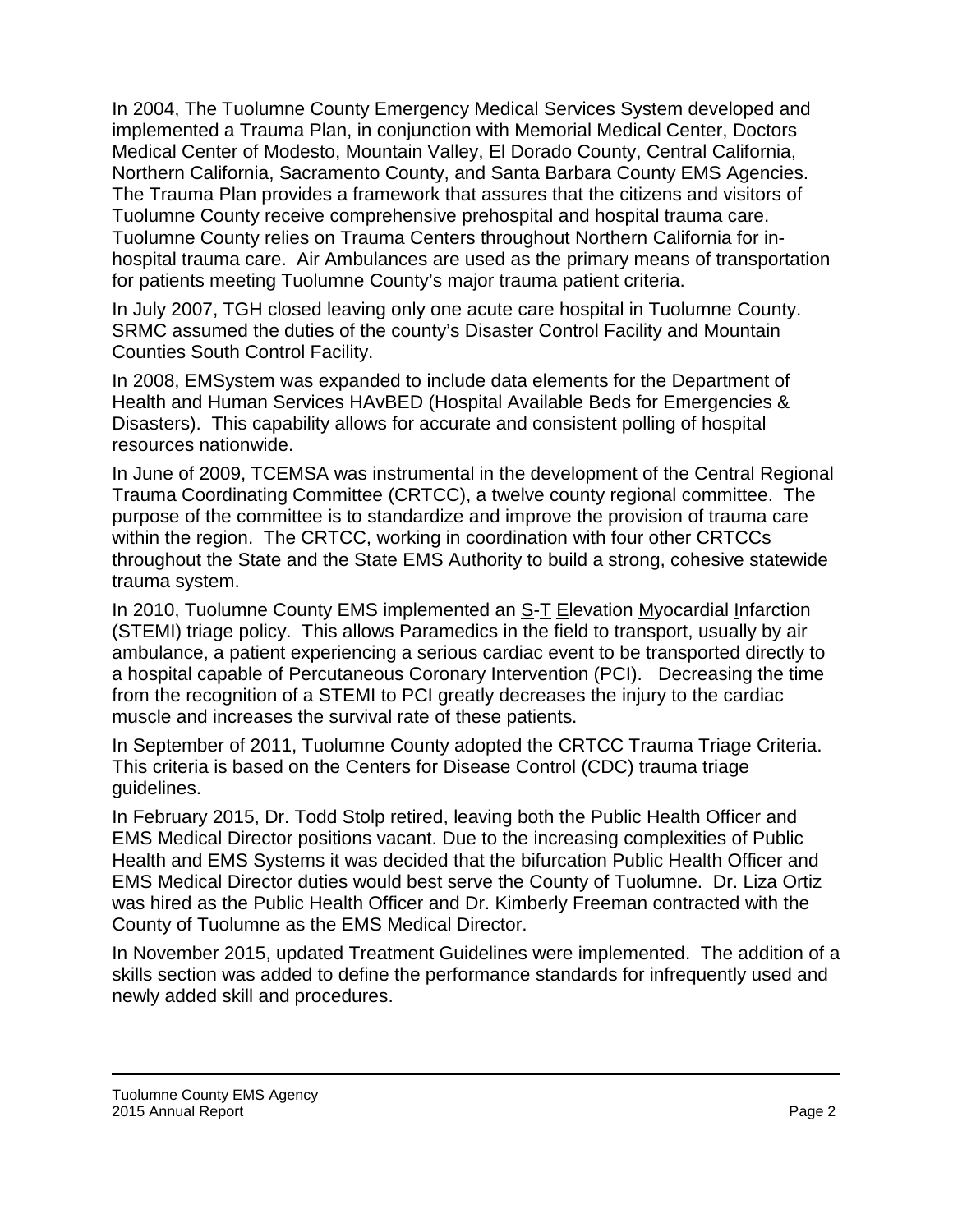In 2004, The Tuolumne County Emergency Medical Services System developed and implemented a Trauma Plan, in conjunction with Memorial Medical Center, Doctors Medical Center of Modesto, Mountain Valley, El Dorado County, Central California, Northern California, Sacramento County, and Santa Barbara County EMS Agencies. The Trauma Plan provides a framework that assures that the citizens and visitors of Tuolumne County receive comprehensive prehospital and hospital trauma care. Tuolumne County relies on Trauma Centers throughout Northern California for inhospital trauma care. Air Ambulances are used as the primary means of transportation for patients meeting Tuolumne County's major trauma patient criteria.

In July 2007, TGH closed leaving only one acute care hospital in Tuolumne County. SRMC assumed the duties of the county's Disaster Control Facility and Mountain Counties South Control Facility.

In 2008, EMSystem was expanded to include data elements for the Department of Health and Human Services HAvBED (Hospital Available Beds for Emergencies & Disasters). This capability allows for accurate and consistent polling of hospital resources nationwide.

In June of 2009, TCEMSA was instrumental in the development of the Central Regional Trauma Coordinating Committee (CRTCC), a twelve county regional committee. The purpose of the committee is to standardize and improve the provision of trauma care within the region. The CRTCC, working in coordination with four other CRTCCs throughout the State and the State EMS Authority to build a strong, cohesive statewide trauma system.

In 2010, Tuolumne County EMS implemented an S-T Elevation Myocardial Infarction (STEMI) triage policy. This allows Paramedics in the field to transport, usually by air ambulance, a patient experiencing a serious cardiac event to be transported directly to a hospital capable of Percutaneous Coronary Intervention (PCI). Decreasing the time from the recognition of a STEMI to PCI greatly decreases the injury to the cardiac muscle and increases the survival rate of these patients.

In September of 2011, Tuolumne County adopted the CRTCC Trauma Triage Criteria. This criteria is based on the Centers for Disease Control (CDC) trauma triage guidelines.

In February 2015, Dr. Todd Stolp retired, leaving both the Public Health Officer and EMS Medical Director positions vacant. Due to the increasing complexities of Public Health and EMS Systems it was decided that the bifurcation Public Health Officer and EMS Medical Director duties would best serve the County of Tuolumne. Dr. Liza Ortiz was hired as the Public Health Officer and Dr. Kimberly Freeman contracted with the County of Tuolumne as the EMS Medical Director.

In November 2015, updated Treatment Guidelines were implemented. The addition of a skills section was added to define the performance standards for infrequently used and newly added skill and procedures.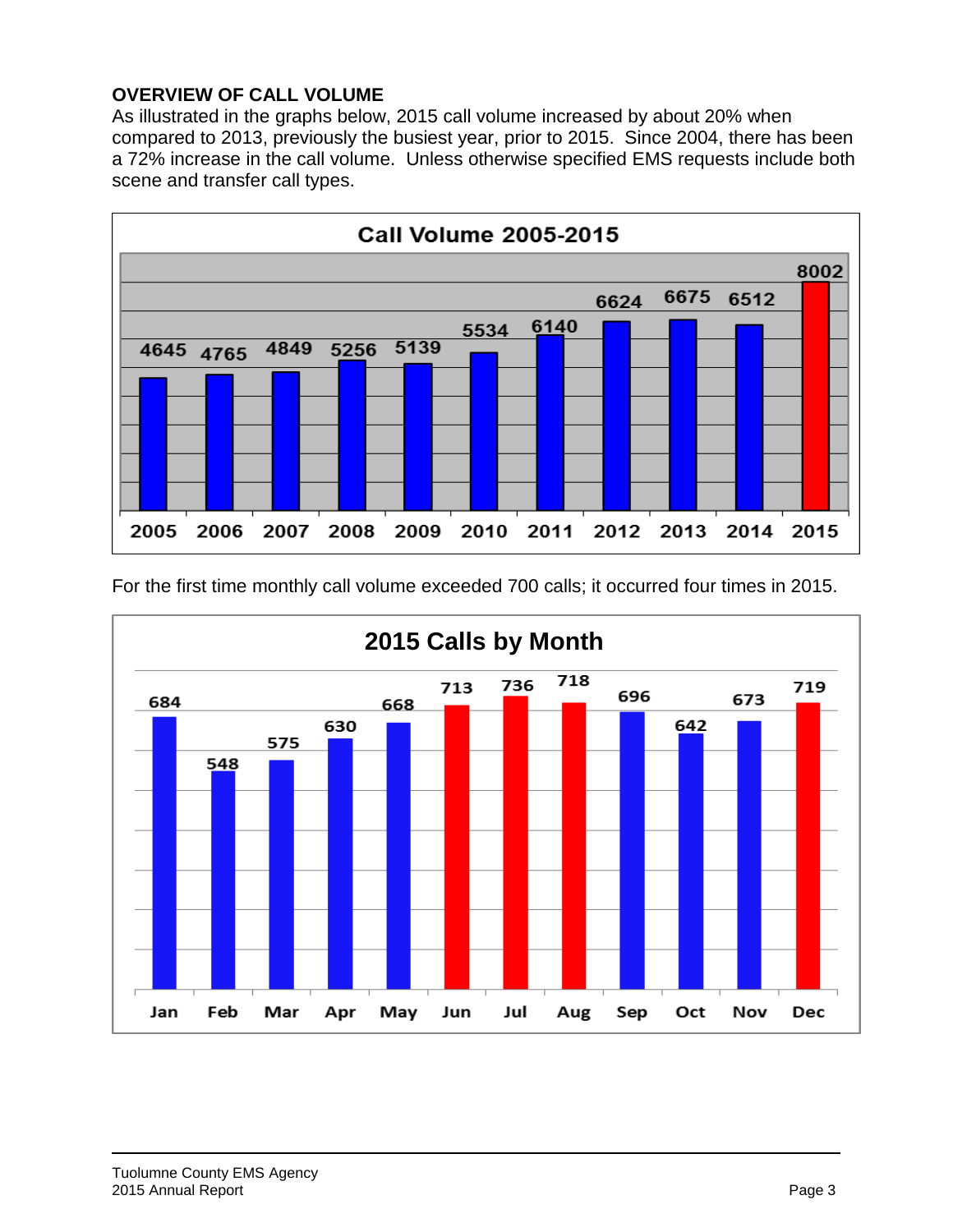### **OVERVIEW OF CALL VOLUME**

As illustrated in the graphs below, 2015 call volume increased by about 20% when compared to 2013, previously the busiest year, prior to 2015. Since 2004, there has been a 72% increase in the call volume. Unless otherwise specified EMS requests include both scene and transfer call types.





For the first time monthly call volume exceeded 700 calls; it occurred four times in 2015.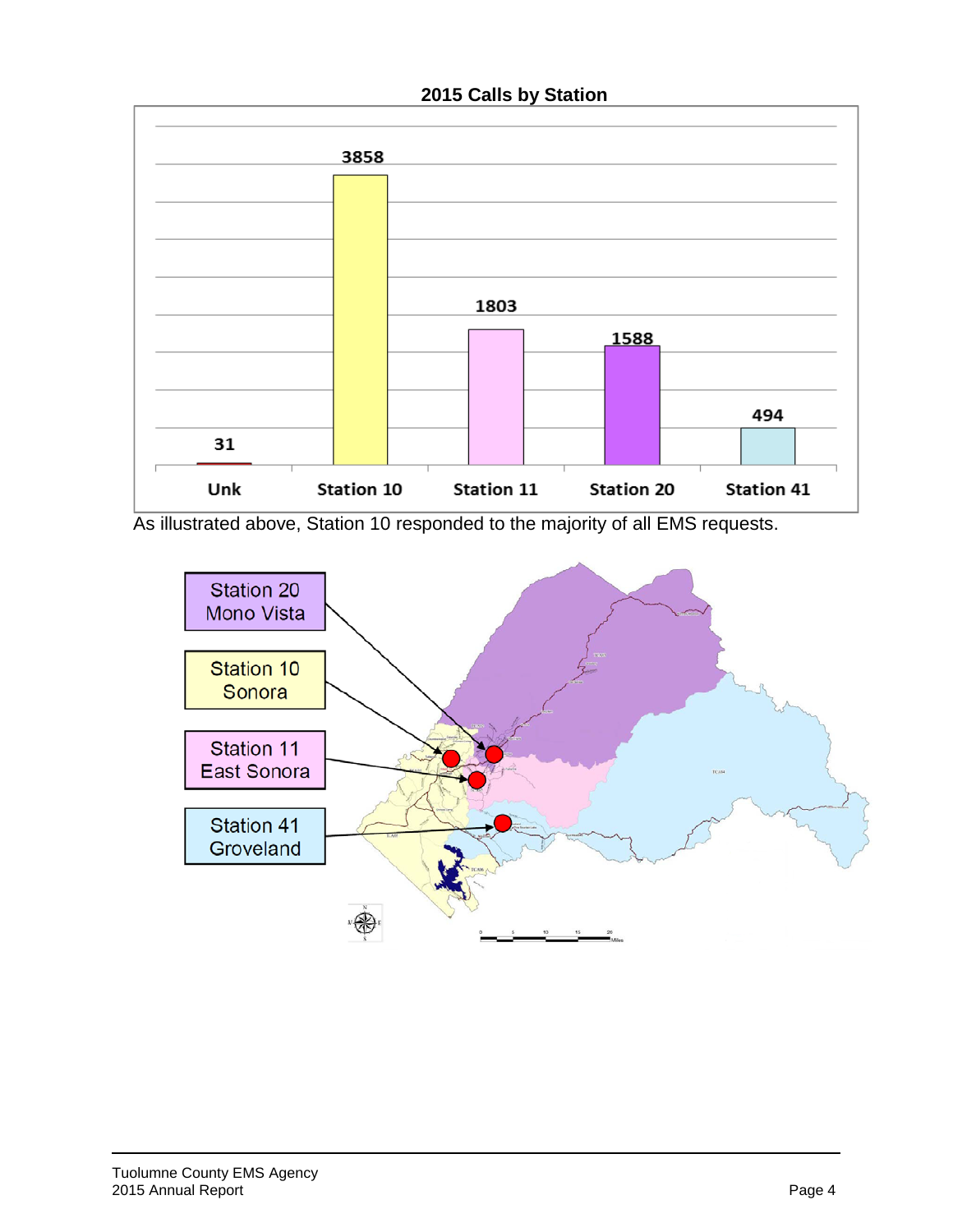# **2015 Calls by Station**



As illustrated above, Station 10 responded to the majority of all EMS requests.

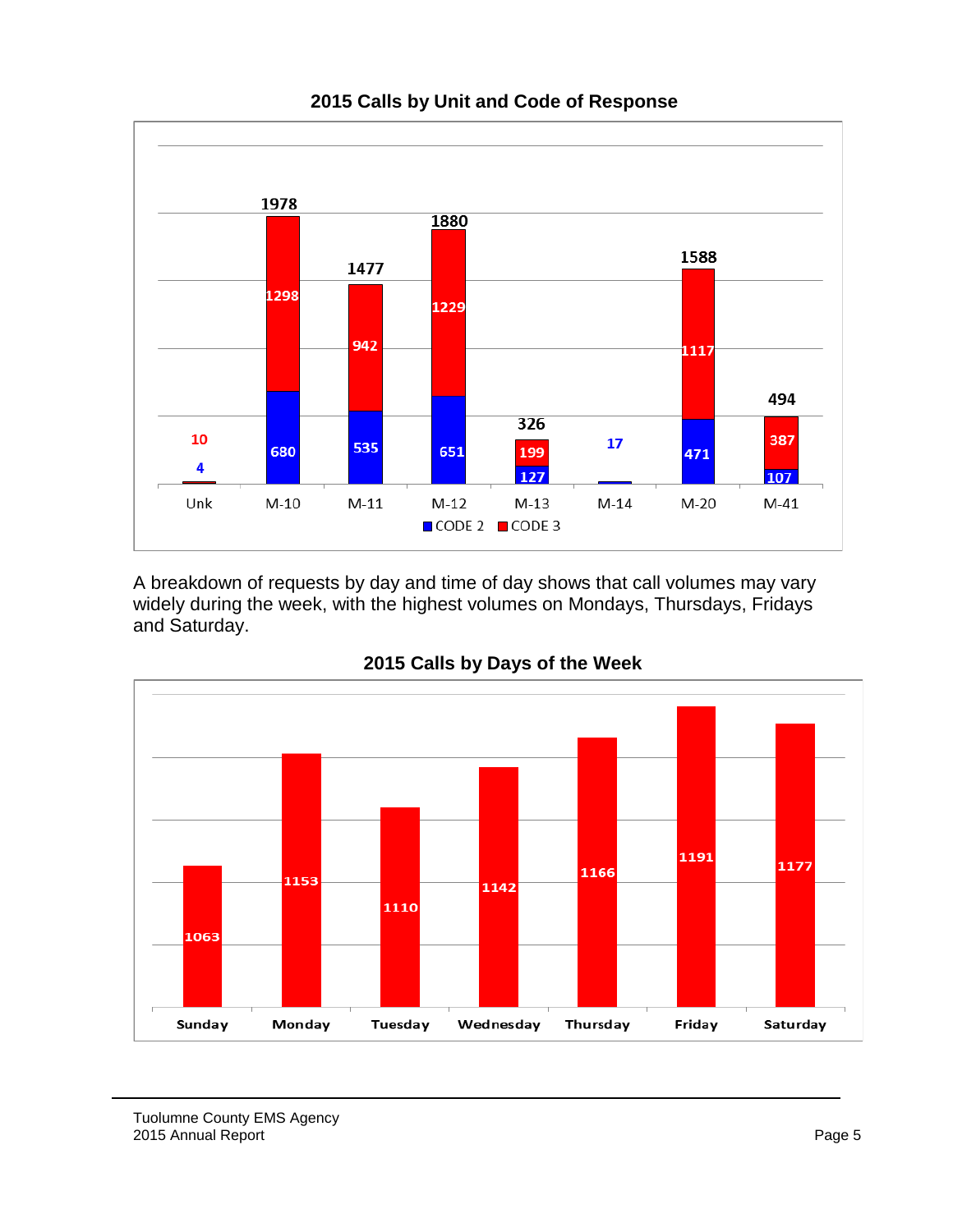

A breakdown of requests by day and time of day shows that call volumes may vary widely during the week, with the highest volumes on Mondays, Thursdays, Fridays and Saturday.



### **2015 Calls by Days of the Week**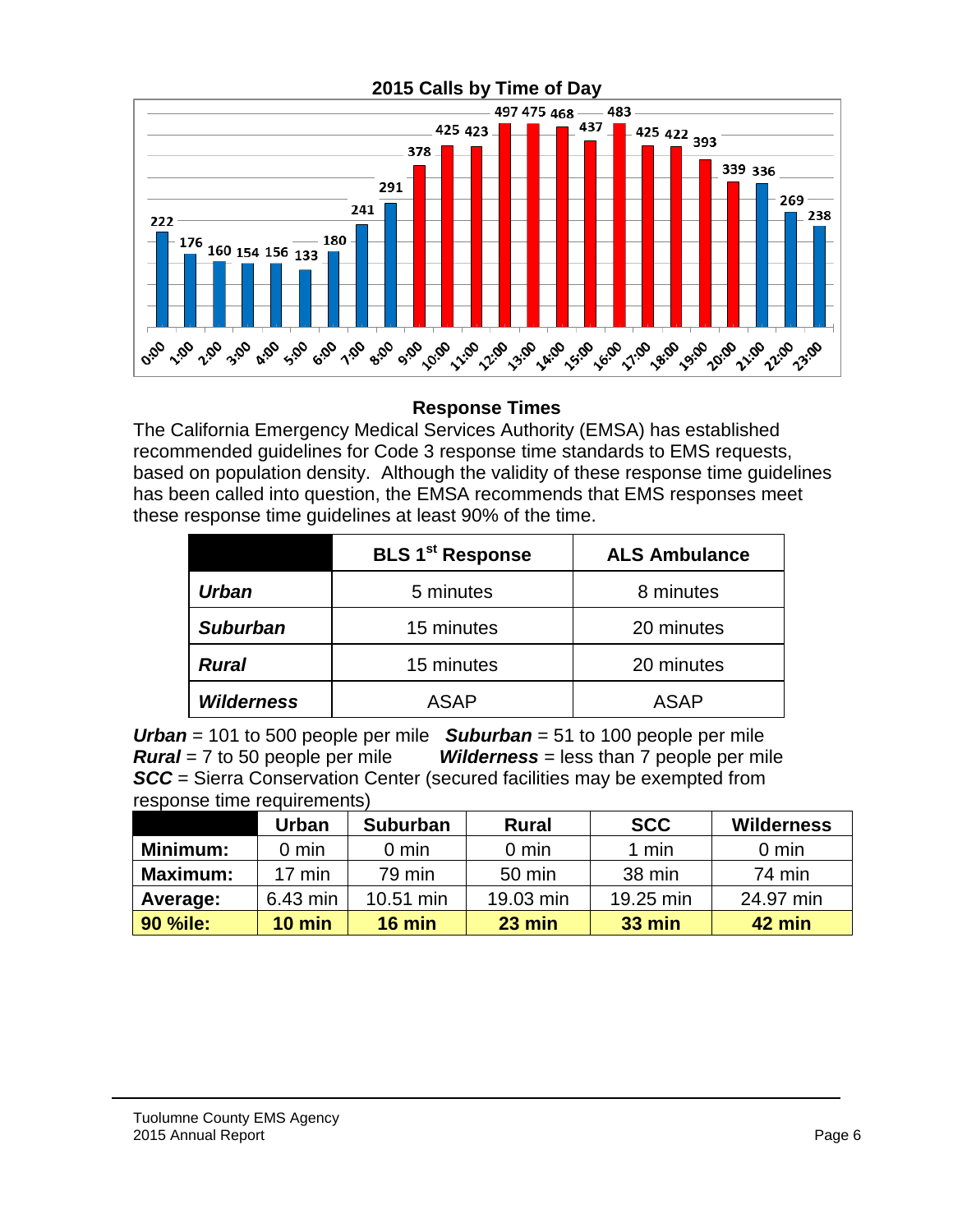

#### **Response Times**

The California Emergency Medical Services Authority (EMSA) has established recommended guidelines for Code 3 response time standards to EMS requests, based on population density. Although the validity of these response time guidelines has been called into question, the EMSA recommends that EMS responses meet these response time guidelines at least 90% of the time.

|                   | <b>BLS 1<sup>st</sup> Response</b> | <b>ALS Ambulance</b> |  |  |  |  |
|-------------------|------------------------------------|----------------------|--|--|--|--|
| <b>Urban</b>      | 5 minutes                          | 8 minutes            |  |  |  |  |
| <b>Suburban</b>   | 15 minutes                         | 20 minutes           |  |  |  |  |
| <b>Rural</b>      | 15 minutes                         | 20 minutes           |  |  |  |  |
| <b>Wilderness</b> | <b>ASAP</b>                        | <b>ASAP</b>          |  |  |  |  |

*Urban* = 101 to 500 people per mile *Suburban* = 51 to 100 people per mile *Rural* = 7 to 50 people per mile *Wilderness* = less than 7 people per mile *SCC* = Sierra Conservation Center (secured facilities may be exempted from response time requirements)

|                 | Urban            | <b>Suburban</b> | <b>Rural</b>    | <b>SCC</b>    | <b>Wilderness</b> |  |
|-----------------|------------------|-----------------|-----------------|---------------|-------------------|--|
| Minimum:        | $0 \text{ min}$  | $0 \text{ min}$ | $0 \text{ min}$ | 1 min         | $0 \text{ min}$   |  |
| <b>Maximum:</b> | $17 \text{ min}$ | 79 min          | 50 min          | 38 min        | 74 min            |  |
| Average:        | 6.43 min         | 10.51 min       | 19.03 min       | 19.25 min     | 24.97 min         |  |
| <b>90 %ile:</b> | $10$ min         | $16$ min        | 23 min          | <b>33 min</b> | 42 min            |  |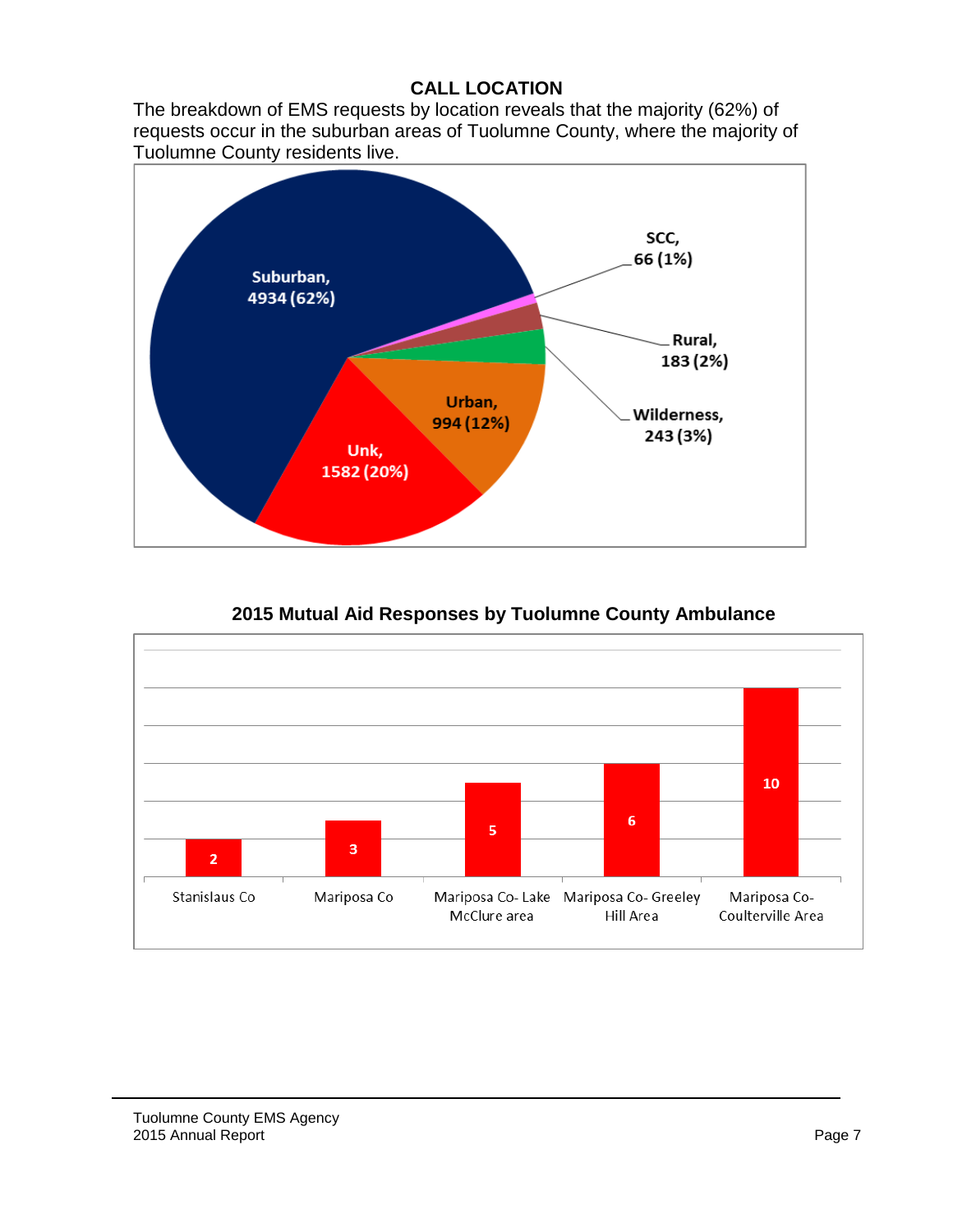# **CALL LOCATION**

The breakdown of EMS requests by location reveals that the majority (62%) of requests occur in the suburban areas of Tuolumne County, where the majority of Tuolumne County residents live.



 $10<sub>1</sub>$  $\mathbf 6$ 5  $\overline{\mathbf{3}}$  $\overline{2}$ Stanislaus Co Mariposa Co Mariposa Co- Lake Mariposa Co- Greeley Mariposa Co-Coulterville Area McClure area Hill Area

**2015 Mutual Aid Responses by Tuolumne County Ambulance**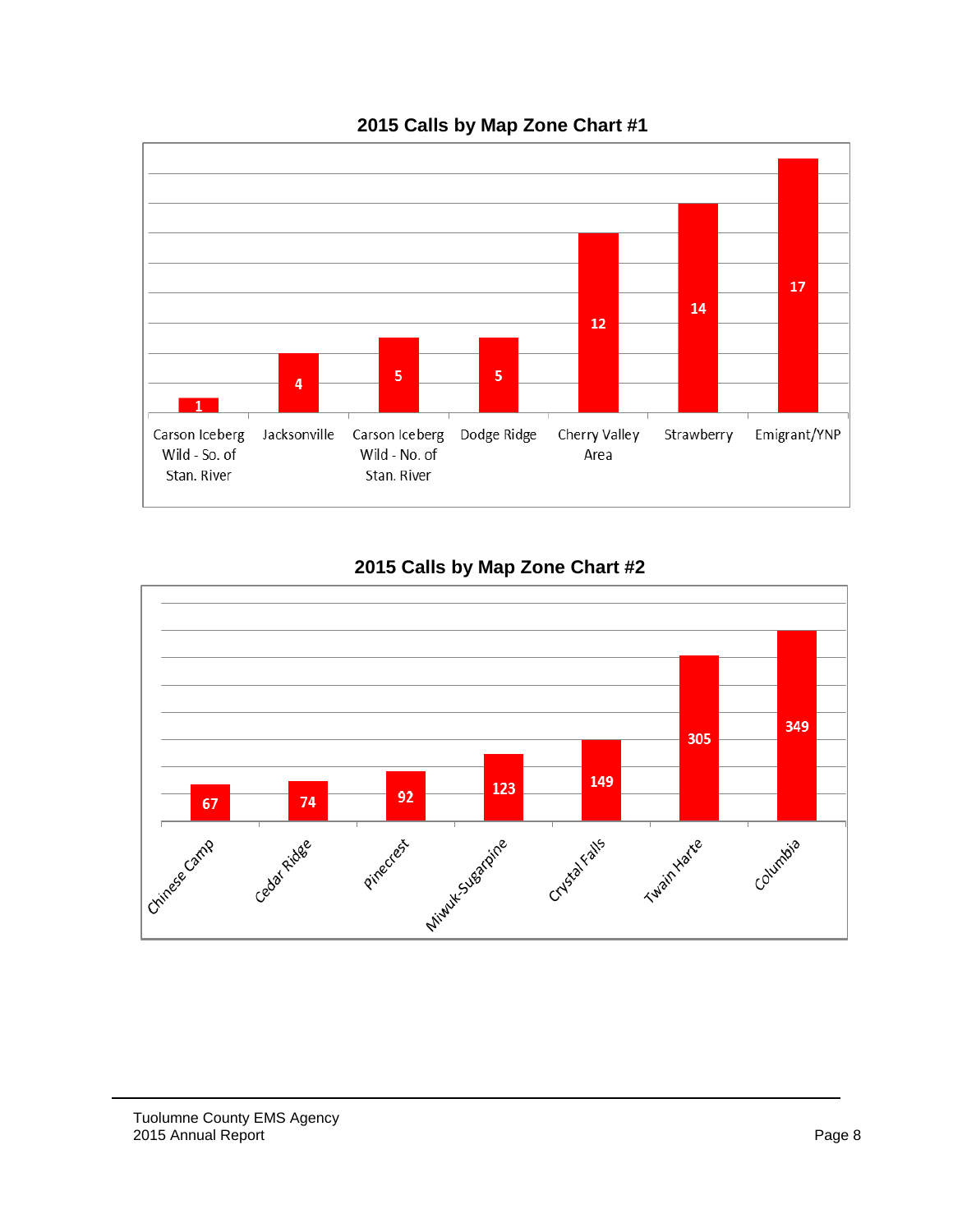

# **2015 Calls by Map Zone Chart #1**



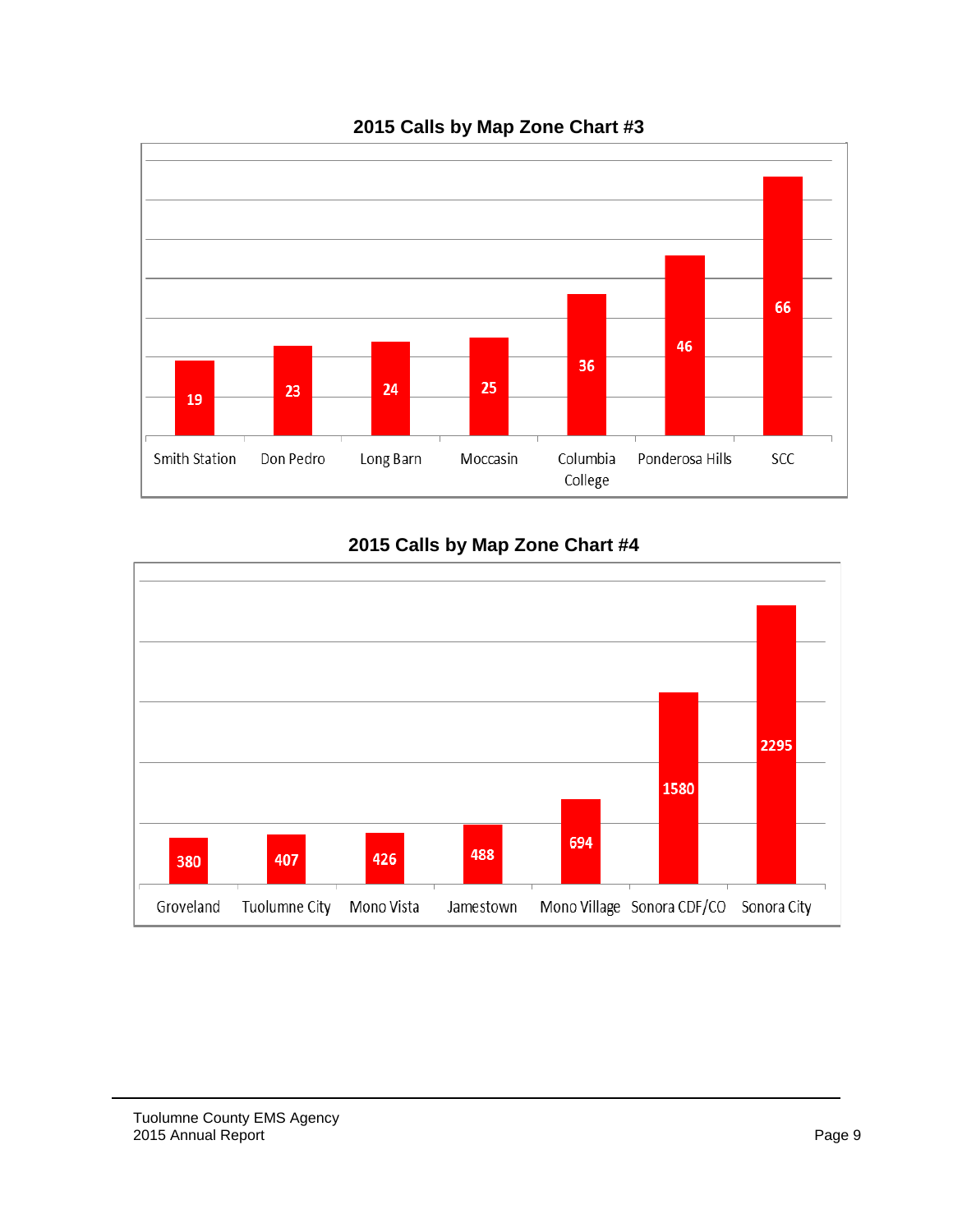

# **2015 Calls by Map Zone Chart #3**

# **2015 Calls by Map Zone Chart #4**

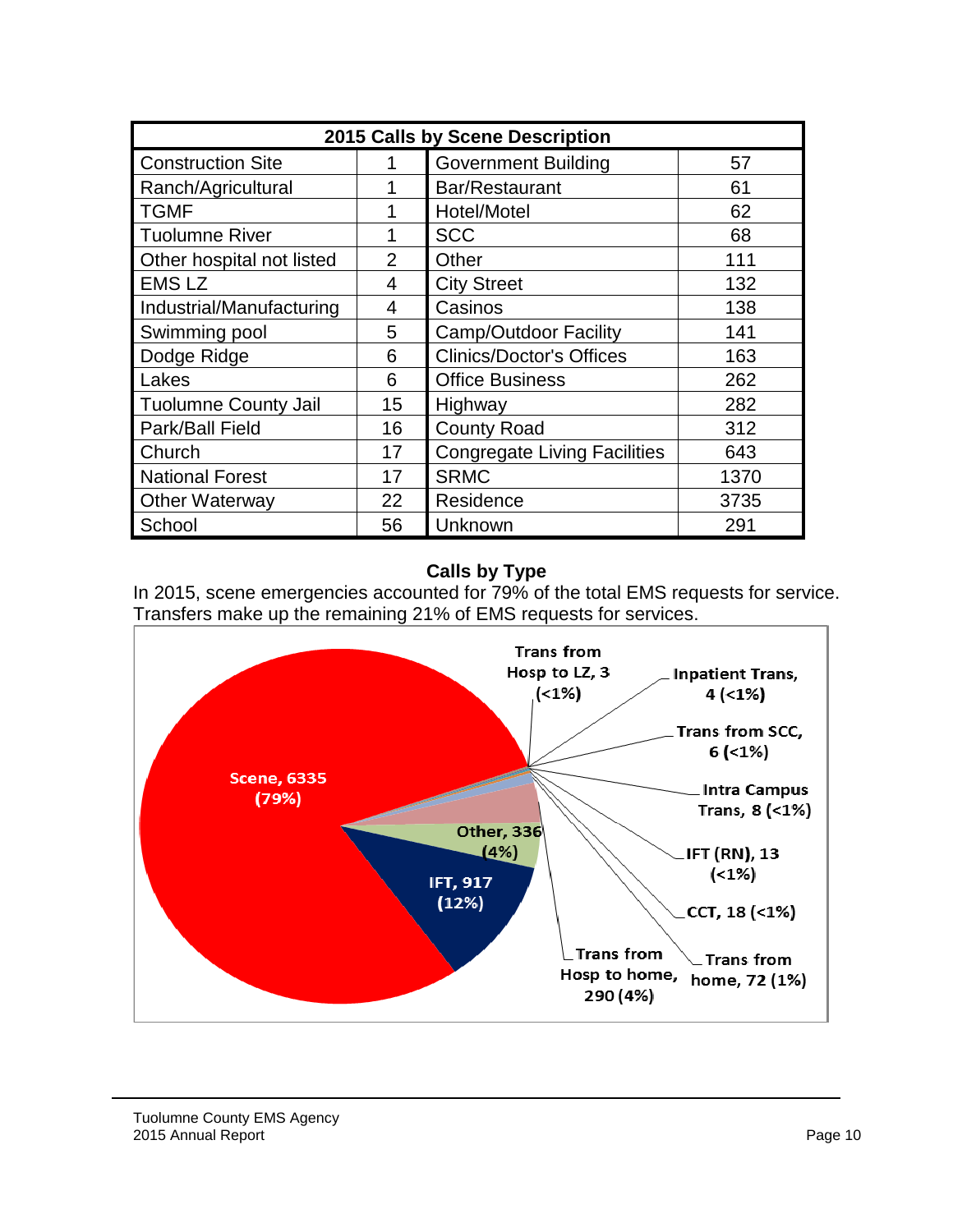| 2015 Calls by Scene Description                              |                |                                     |      |  |  |  |  |
|--------------------------------------------------------------|----------------|-------------------------------------|------|--|--|--|--|
| <b>Construction Site</b><br><b>Government Building</b><br>57 |                |                                     |      |  |  |  |  |
| Ranch/Agricultural                                           | 1              | Bar/Restaurant                      | 61   |  |  |  |  |
| <b>TGMF</b>                                                  | 1              | Hotel/Motel                         | 62   |  |  |  |  |
| <b>Tuolumne River</b>                                        | 1              | <b>SCC</b>                          | 68   |  |  |  |  |
| Other hospital not listed                                    | $\overline{2}$ | Other                               | 111  |  |  |  |  |
| <b>EMS LZ</b>                                                | 4              | <b>City Street</b>                  | 132  |  |  |  |  |
| Industrial/Manufacturing                                     | 4              | Casinos                             | 138  |  |  |  |  |
| Swimming pool                                                | 5              | <b>Camp/Outdoor Facility</b>        | 141  |  |  |  |  |
| Dodge Ridge                                                  | 6              | <b>Clinics/Doctor's Offices</b>     | 163  |  |  |  |  |
| Lakes                                                        | 6              | <b>Office Business</b>              | 262  |  |  |  |  |
| <b>Tuolumne County Jail</b>                                  | 15             | Highway                             | 282  |  |  |  |  |
| Park/Ball Field                                              | 16             | <b>County Road</b>                  | 312  |  |  |  |  |
| Church                                                       | 17             | <b>Congregate Living Facilities</b> | 643  |  |  |  |  |
| <b>National Forest</b>                                       | 17             | <b>SRMC</b>                         | 1370 |  |  |  |  |
| <b>Other Waterway</b>                                        | 22             | Residence                           | 3735 |  |  |  |  |
| School                                                       | 56             | Unknown                             | 291  |  |  |  |  |

# **Calls by Type**



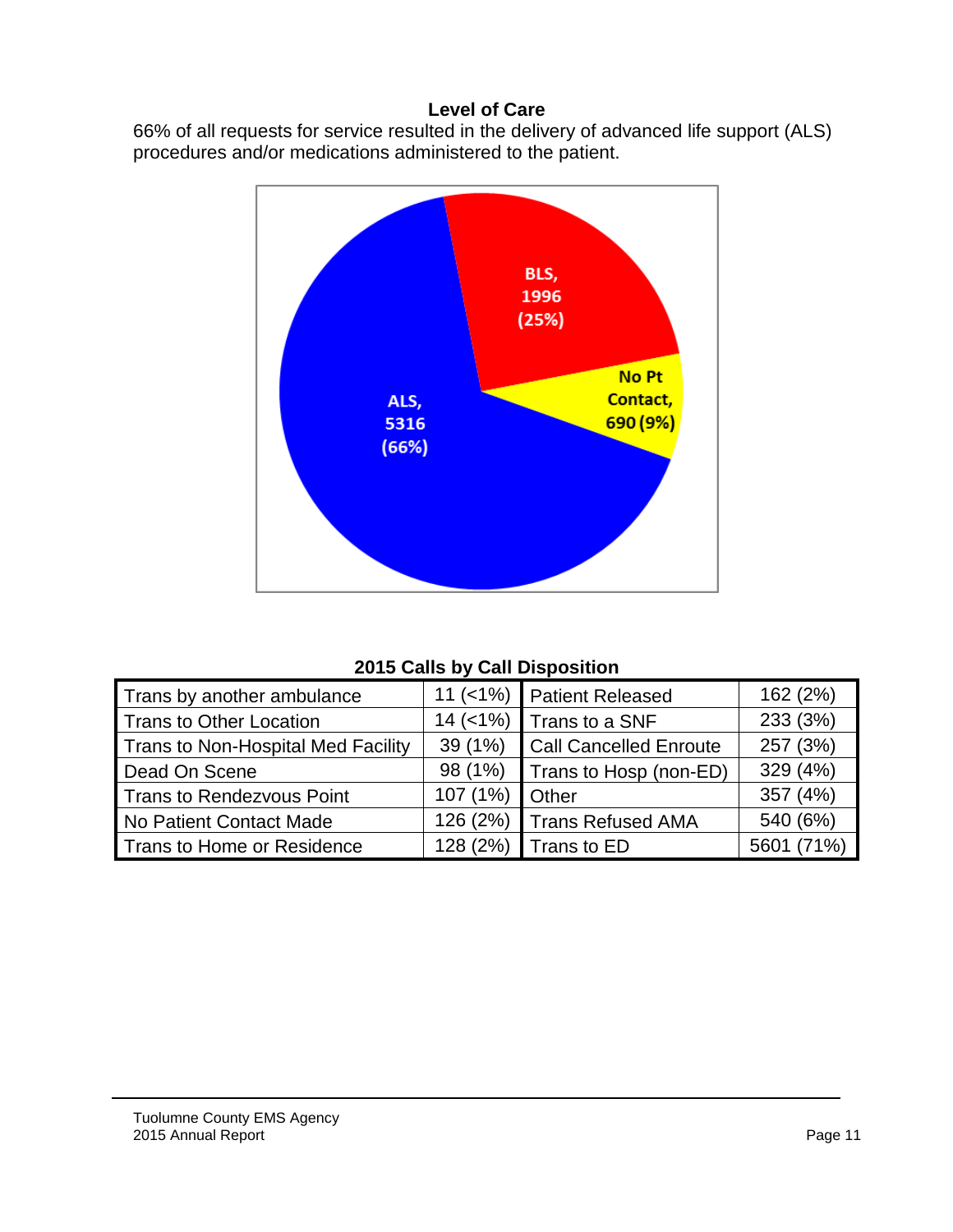#### **Level of Care**

66% of all requests for service resulted in the delivery of advanced life support (ALS) procedures and/or medications administered to the patient.



# **2015 Calls by Call Disposition**

| Trans by another ambulance         | $11 (< 1\%)$ | Patient Released              | 162 (2%)   |
|------------------------------------|--------------|-------------------------------|------------|
| Trans to Other Location            | $14$ (<1%)   | Trans to a SNF                | 233 (3%)   |
| Trans to Non-Hospital Med Facility | 39(1%)       | <b>Call Cancelled Enroute</b> | 257 (3%)   |
| Dead On Scene                      | 98 (1%)      | Trans to Hosp (non-ED)        | 329 (4%)   |
| <b>Trans to Rendezvous Point</b>   | 107(1%)      | Other                         | 357 (4%)   |
| No Patient Contact Made            | 126 (2%)     | Trans Refused AMA             | 540 (6%)   |
| Trans to Home or Residence         | 128 (2%)     | Trans to ED                   | 5601 (71%) |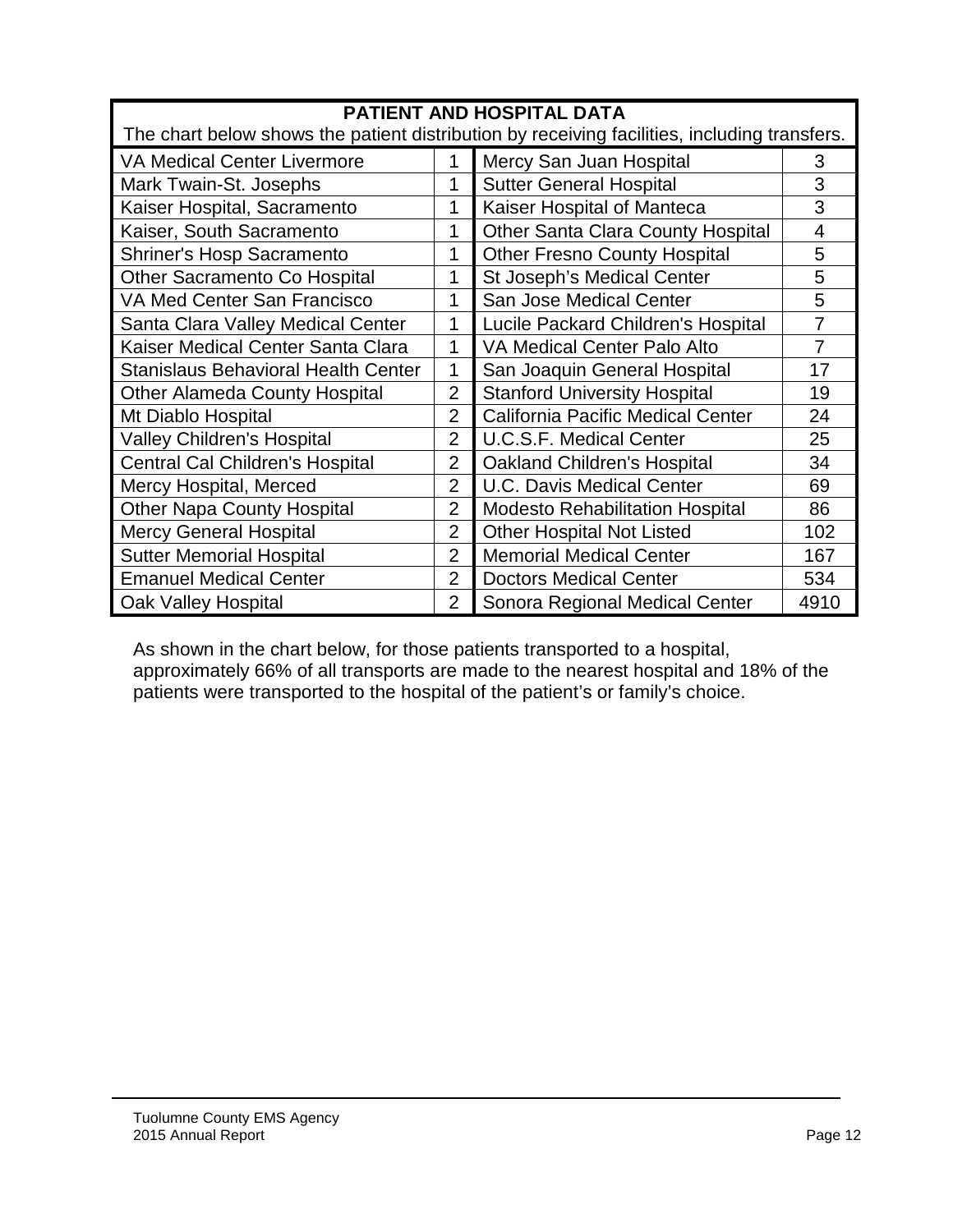| <b>PATIENT AND HOSPITAL DATA</b>                                                             |                |                                        |                |  |  |  |  |
|----------------------------------------------------------------------------------------------|----------------|----------------------------------------|----------------|--|--|--|--|
| The chart below shows the patient distribution by receiving facilities, including transfers. |                |                                        |                |  |  |  |  |
| Mercy San Juan Hospital<br><b>VA Medical Center Livermore</b><br>1                           |                |                                        |                |  |  |  |  |
| Mark Twain-St. Josephs                                                                       | 1              | <b>Sutter General Hospital</b>         | 3              |  |  |  |  |
| Kaiser Hospital, Sacramento                                                                  | 1              | Kaiser Hospital of Manteca             | 3              |  |  |  |  |
| Kaiser, South Sacramento                                                                     | 1              | Other Santa Clara County Hospital      | 4              |  |  |  |  |
| <b>Shriner's Hosp Sacramento</b>                                                             | 1              | <b>Other Fresno County Hospital</b>    | 5              |  |  |  |  |
| Other Sacramento Co Hospital                                                                 | 1              | St Joseph's Medical Center             | 5              |  |  |  |  |
| VA Med Center San Francisco                                                                  | 1              | San Jose Medical Center                | 5              |  |  |  |  |
| Santa Clara Valley Medical Center                                                            | 1              | Lucile Packard Children's Hospital     | $\overline{7}$ |  |  |  |  |
| Kaiser Medical Center Santa Clara                                                            | 1              | VA Medical Center Palo Alto            | 7              |  |  |  |  |
| <b>Stanislaus Behavioral Health Center</b>                                                   | 1              | San Joaquin General Hospital           | 17             |  |  |  |  |
| <b>Other Alameda County Hospital</b>                                                         | $\overline{2}$ | <b>Stanford University Hospital</b>    | 19             |  |  |  |  |
| Mt Diablo Hospital                                                                           | $\overline{2}$ | California Pacific Medical Center      | 24             |  |  |  |  |
| <b>Valley Children's Hospital</b>                                                            | $\overline{2}$ | <b>U.C.S.F. Medical Center</b>         | 25             |  |  |  |  |
| <b>Central Cal Children's Hospital</b>                                                       | $\overline{2}$ | <b>Oakland Children's Hospital</b>     | 34             |  |  |  |  |
| Mercy Hospital, Merced                                                                       | $\overline{2}$ | <b>U.C. Davis Medical Center</b>       | 69             |  |  |  |  |
| <b>Other Napa County Hospital</b>                                                            | $\overline{2}$ | <b>Modesto Rehabilitation Hospital</b> | 86             |  |  |  |  |
| <b>Mercy General Hospital</b>                                                                | $\overline{2}$ | <b>Other Hospital Not Listed</b>       | 102            |  |  |  |  |
| <b>Sutter Memorial Hospital</b>                                                              | $\overline{2}$ | <b>Memorial Medical Center</b>         | 167            |  |  |  |  |
| <b>Emanuel Medical Center</b>                                                                | $\overline{2}$ | <b>Doctors Medical Center</b>          | 534            |  |  |  |  |
| Oak Valley Hospital                                                                          | $\overline{2}$ | Sonora Regional Medical Center         | 4910           |  |  |  |  |

As shown in the chart below, for those patients transported to a hospital, approximately 66% of all transports are made to the nearest hospital and 18% of the patients were transported to the hospital of the patient's or family's choice.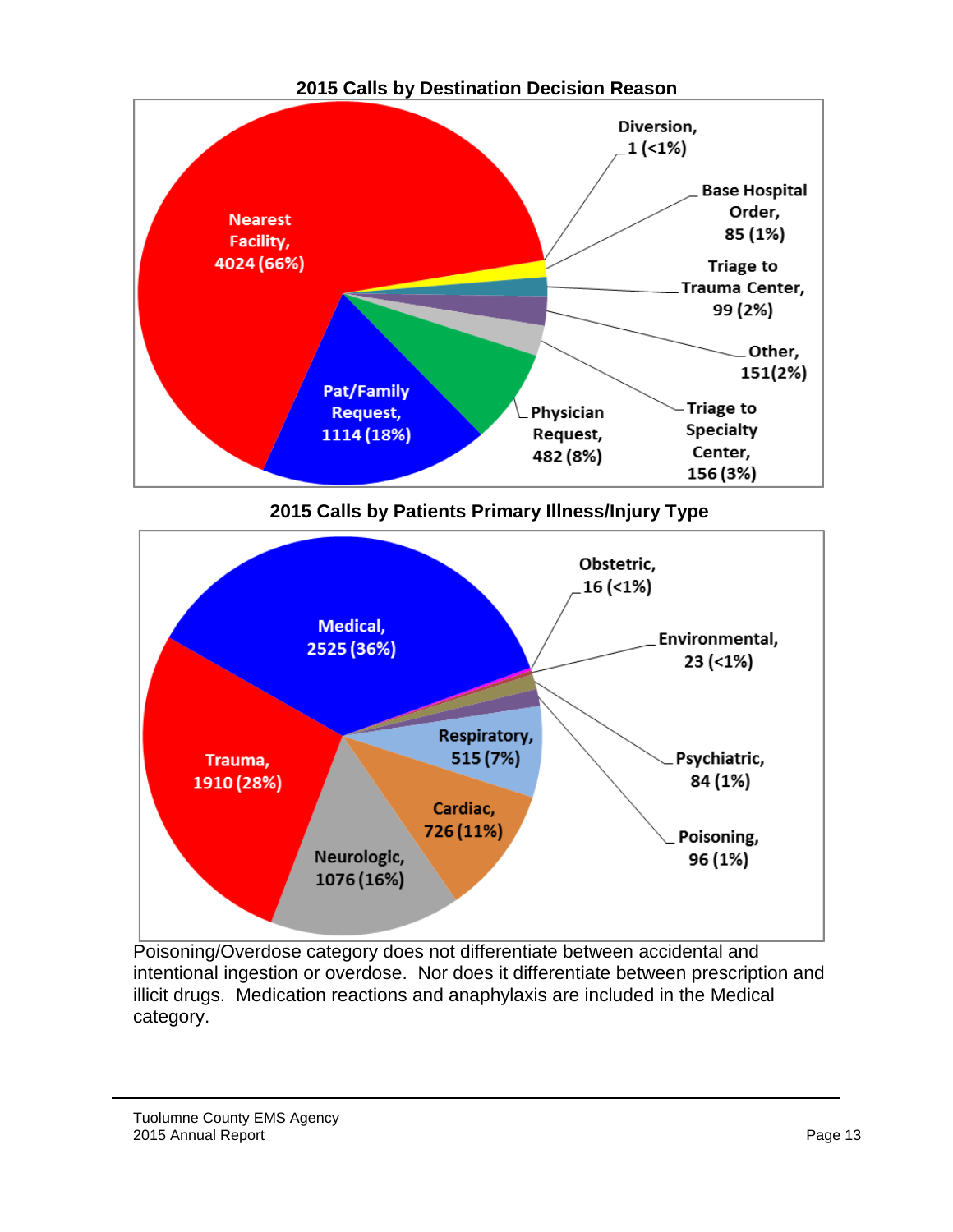

**2015 Calls by Destination Decision Reason**

**2015 Calls by Patients Primary Illness/Injury Type**



Poisoning/Overdose category does not differentiate between accidental and intentional ingestion or overdose. Nor does it differentiate between prescription and illicit drugs. Medication reactions and anaphylaxis are included in the Medical category.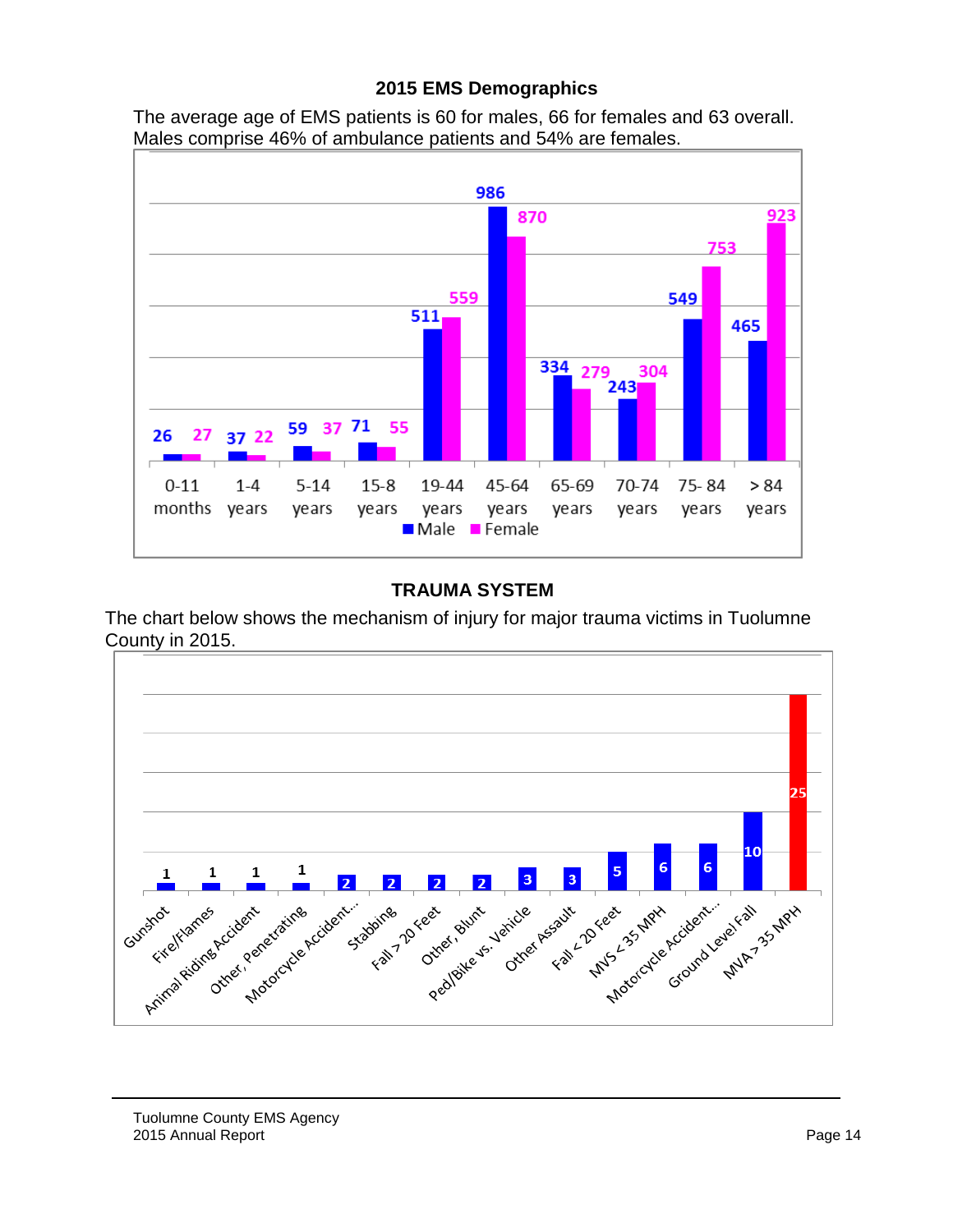#### **2015 EMS Demographics**

The average age of EMS patients is 60 for males, 66 for females and 63 overall. Males comprise 46% of ambulance patients and 54% are females.



### **TRAUMA SYSTEM**

The chart below shows the mechanism of injury for major trauma victims in Tuolumne County in 2015.

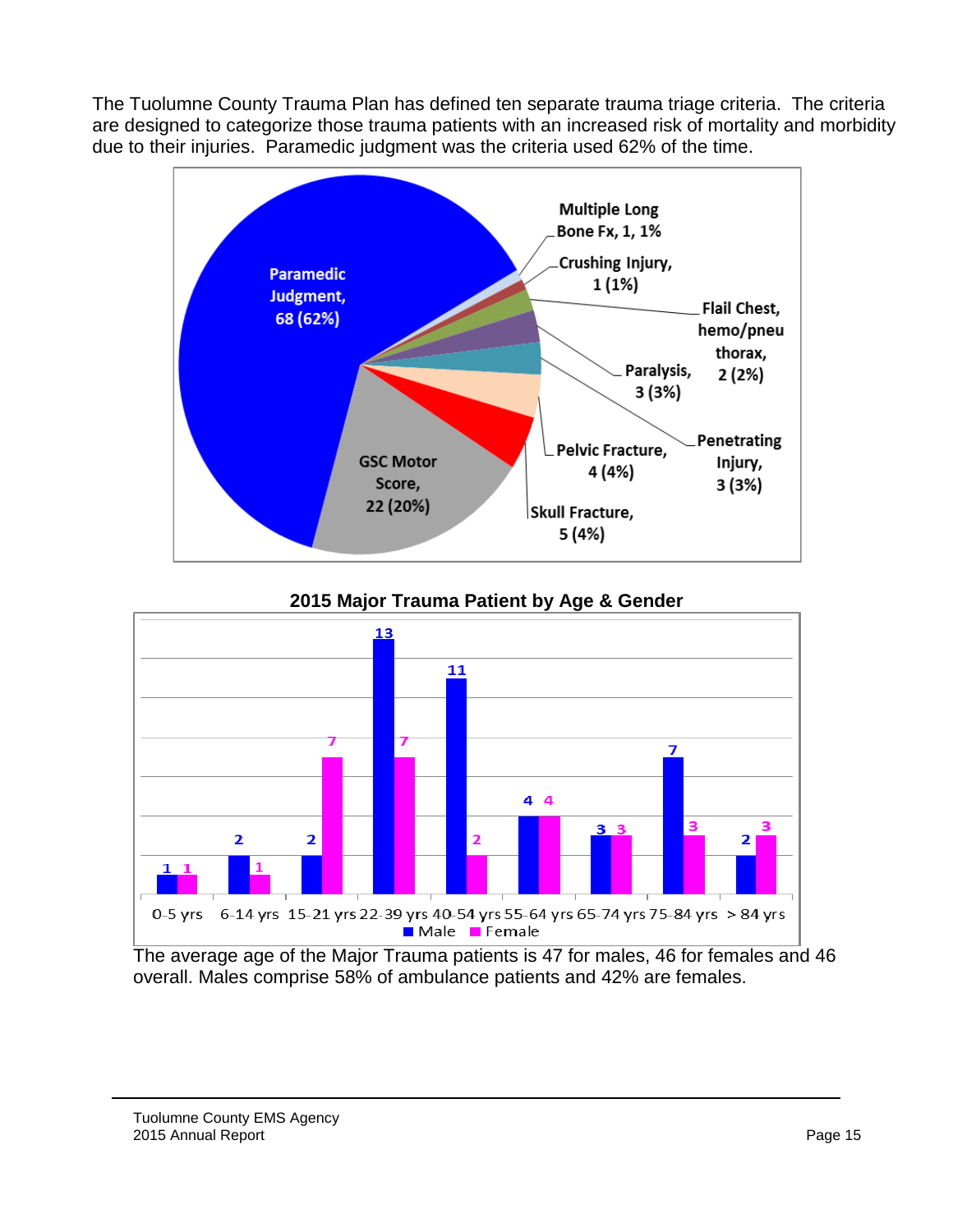The Tuolumne County Trauma Plan has defined ten separate trauma triage criteria. The criteria are designed to categorize those trauma patients with an increased risk of mortality and morbidity due to their injuries. Paramedic judgment was the criteria used 62% of the time.





The average age of the Major Trauma patients is 47 for males, 46 for females and 46 overall. Males comprise 58% of ambulance patients and 42% are females.

#### Tuolumne County EMS Agency 2015 Annual Report Page 15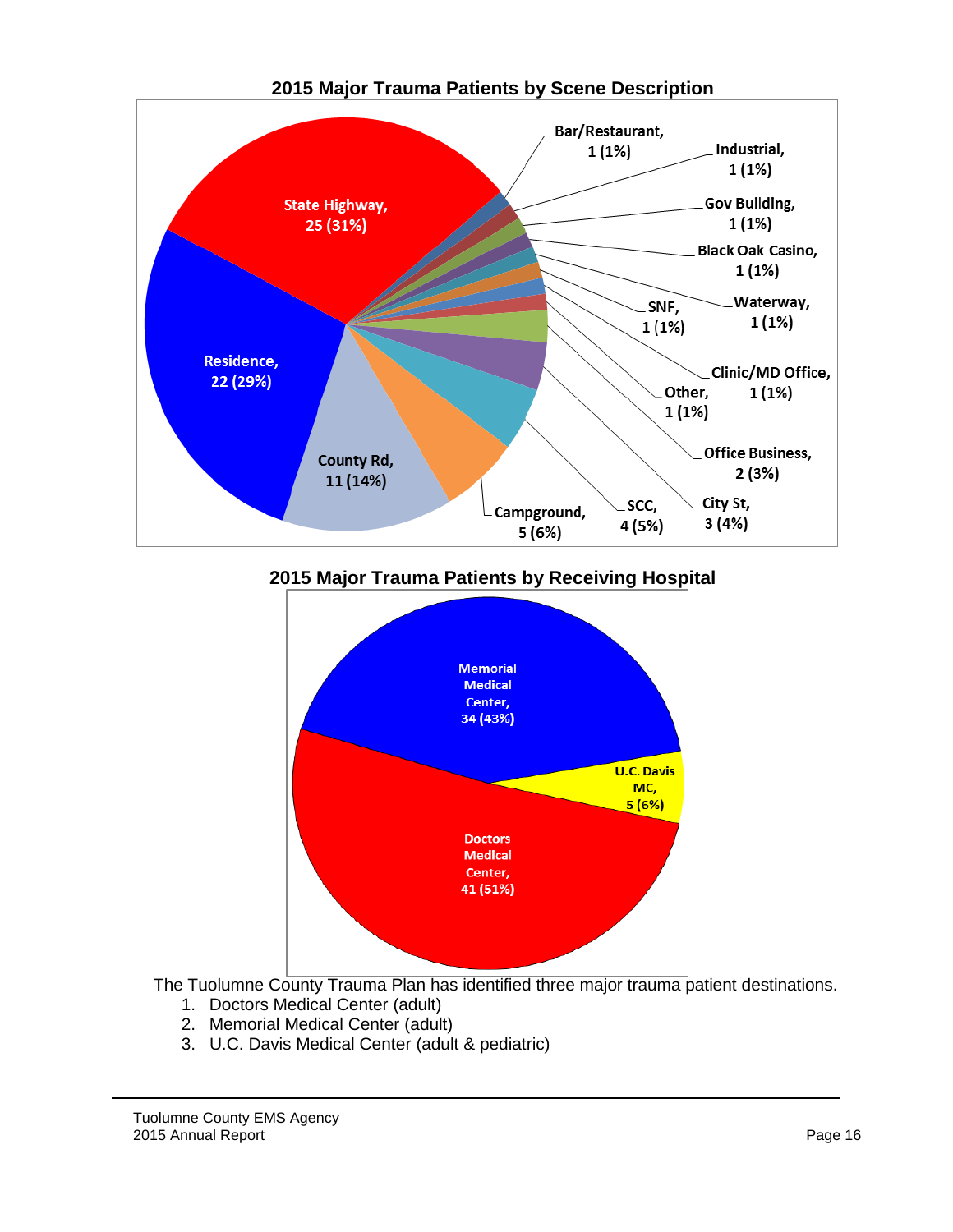

**2015 Major Trauma Patients by Scene Description**

**2015 Major Trauma Patients by Receiving Hospital**



The Tuolumne County Trauma Plan has identified three major trauma patient destinations.

- 1. Doctors Medical Center (adult)
- 2. Memorial Medical Center (adult)
- 3. U.C. Davis Medical Center (adult & pediatric)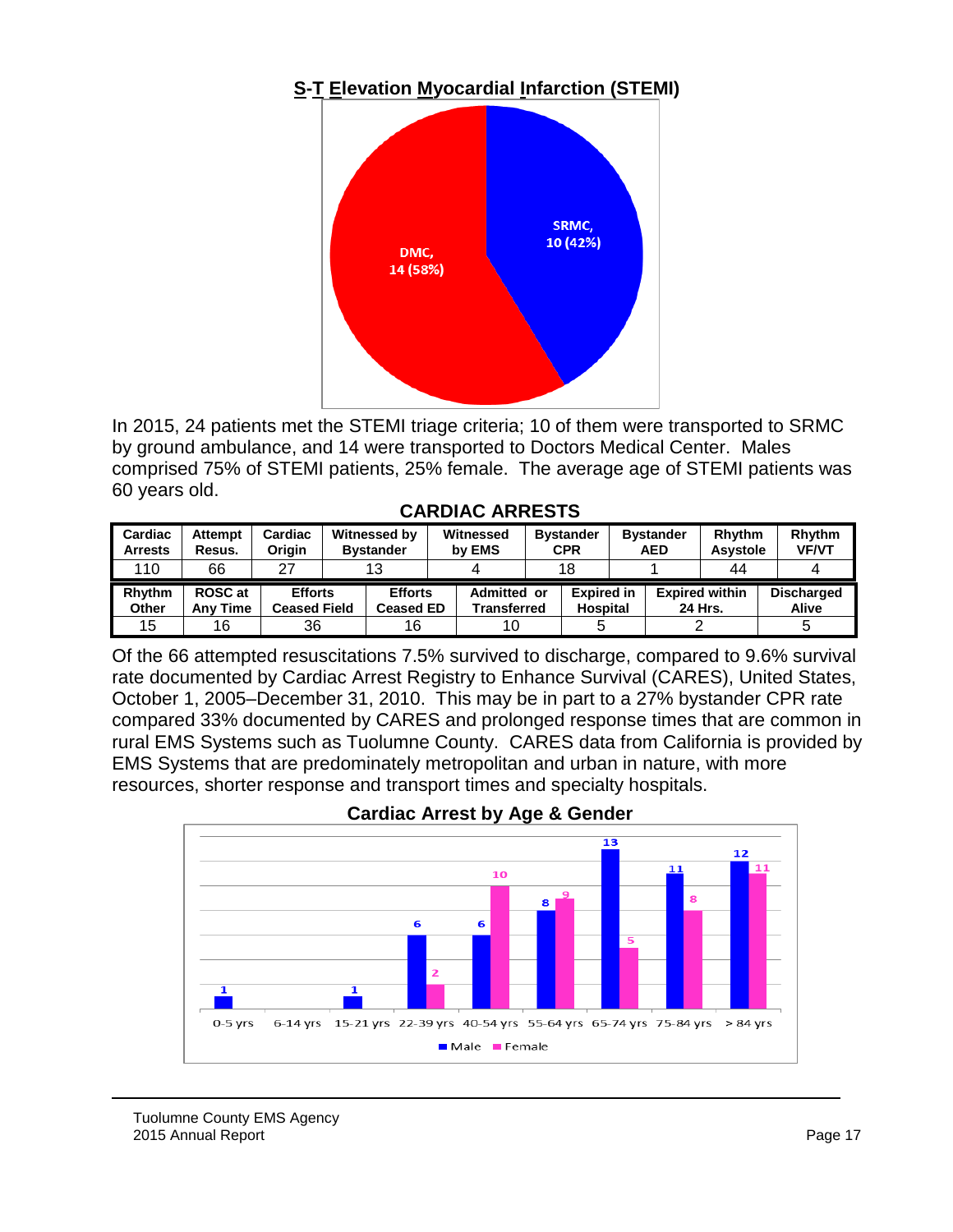# **S-T Elevation Myocardial Infarction (STEMI)**



In 2015, 24 patients met the STEMI triage criteria; 10 of them were transported to SRMC by ground ambulance, and 14 were transported to Doctors Medical Center. Males comprised 75% of STEMI patients, 25% female. The average age of STEMI patients was 60 years old.

| <b>CARDIAC ARRESTS</b> |  |
|------------------------|--|
|------------------------|--|

| Cardiac<br><b>Arrests</b> | <b>Attempt</b><br>Resus.          | Cardiac<br>Oriain                     | Witnessed by<br><b>Bystander</b>   |  | Witnessed<br>by EMS        |    | <b>Bystander</b><br><b>Bystander</b><br>CPR<br><b>AED</b> |  |  | <b>Rhythm</b><br><b>Asystole</b> |  | <b>Rhythm</b><br><b>VF/VT</b> |  |  |
|---------------------------|-----------------------------------|---------------------------------------|------------------------------------|--|----------------------------|----|-----------------------------------------------------------|--|--|----------------------------------|--|-------------------------------|--|--|
| 110                       | 66                                | 27                                    | 13                                 |  |                            | 18 |                                                           |  |  | 44                               |  |                               |  |  |
| <b>Rhythm</b><br>Other    | <b>ROSC</b> at<br><b>Any Time</b> | <b>Efforts</b><br><b>Ceased Field</b> | <b>Efforts</b><br><b>Ceased ED</b> |  | Admitted or<br>Transferred |    | <b>Expired in</b><br><b>Hospital</b>                      |  |  | <b>Expired within</b><br>24 Hrs. |  | <b>Discharged</b><br>Alive    |  |  |
| 15                        | 16                                | 36                                    | 16                                 |  | 10                         |    |                                                           |  |  |                                  |  |                               |  |  |

Of the 66 attempted resuscitations 7.5% survived to discharge, compared to 9.6% survival rate documented by Cardiac Arrest Registry to Enhance Survival (CARES), United States, October 1, 2005–December 31, 2010. This may be in part to a 27% bystander CPR rate compared 33% documented by CARES and prolonged response times that are common in rural EMS Systems such as Tuolumne County. CARES data from California is provided by EMS Systems that are predominately metropolitan and urban in nature, with more resources, shorter response and transport times and specialty hospitals.



**Cardiac Arrest by Age & Gender**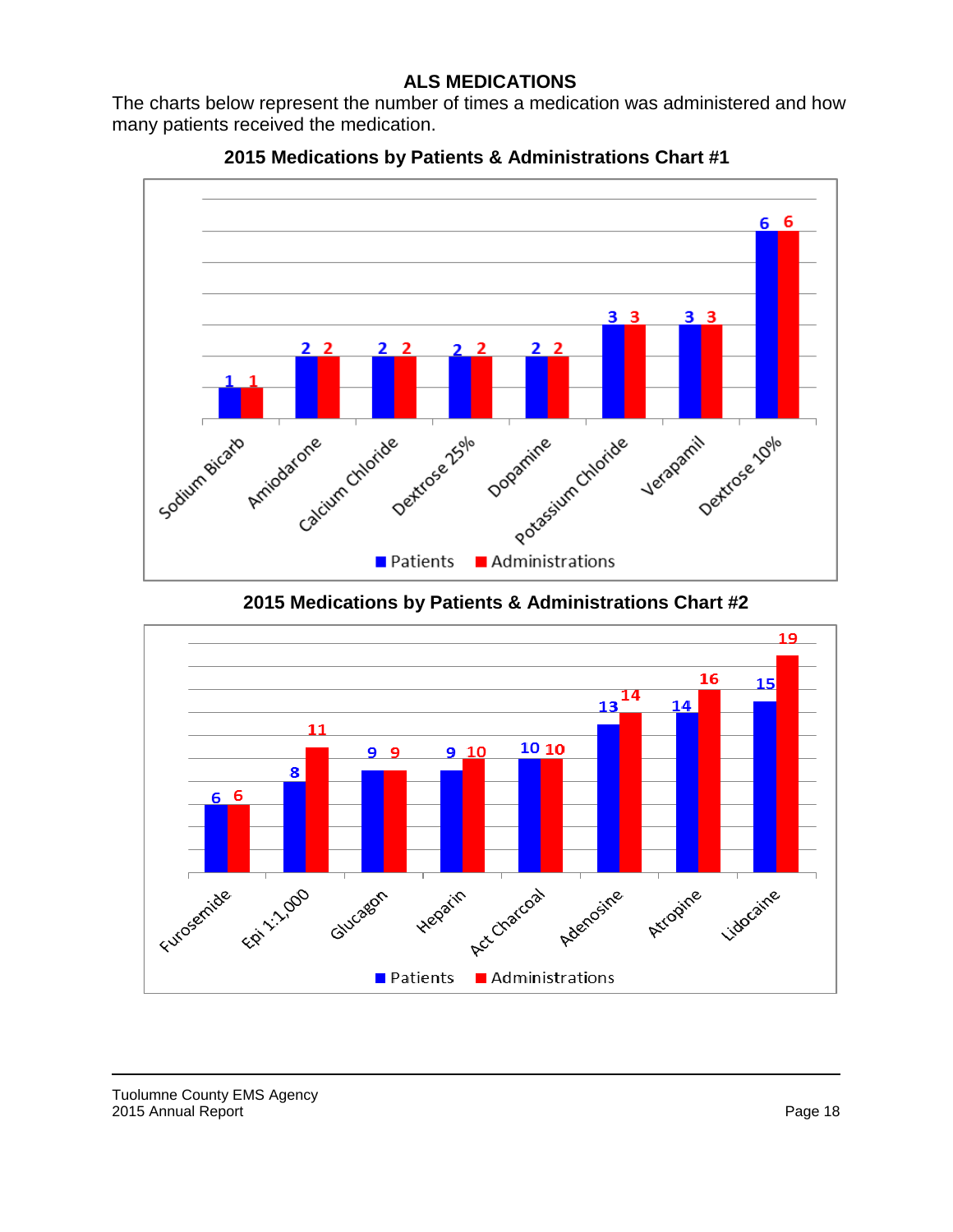#### **ALS MEDICATIONS**

The charts below represent the number of times a medication was administered and how many patients received the medication.



**2015 Medications by Patients & Administrations Chart #1**

**2015 Medications by Patients & Administrations Chart #2**

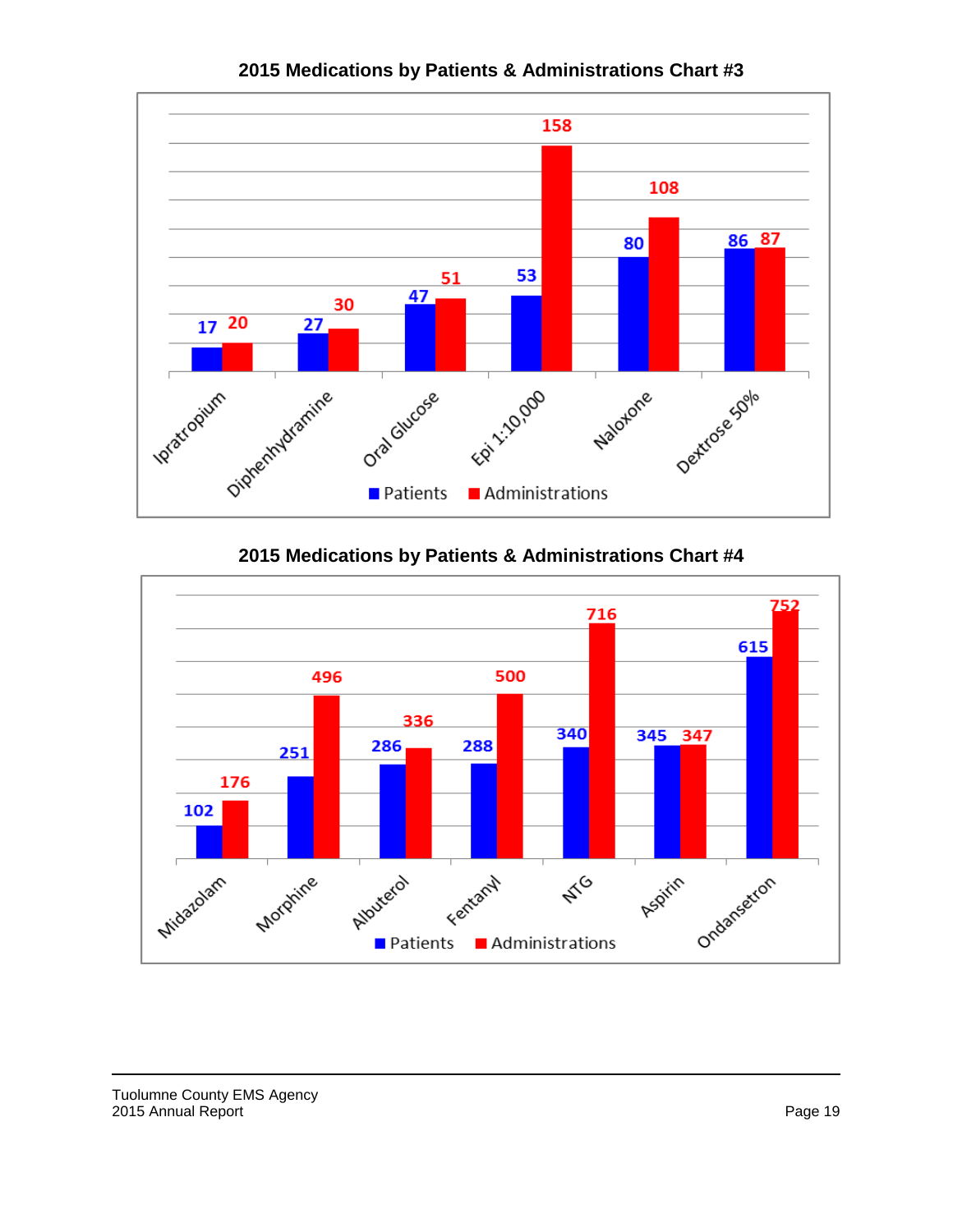

**2015 Medications by Patients & Administrations Chart #3**

**2015 Medications by Patients & Administrations Chart #4**

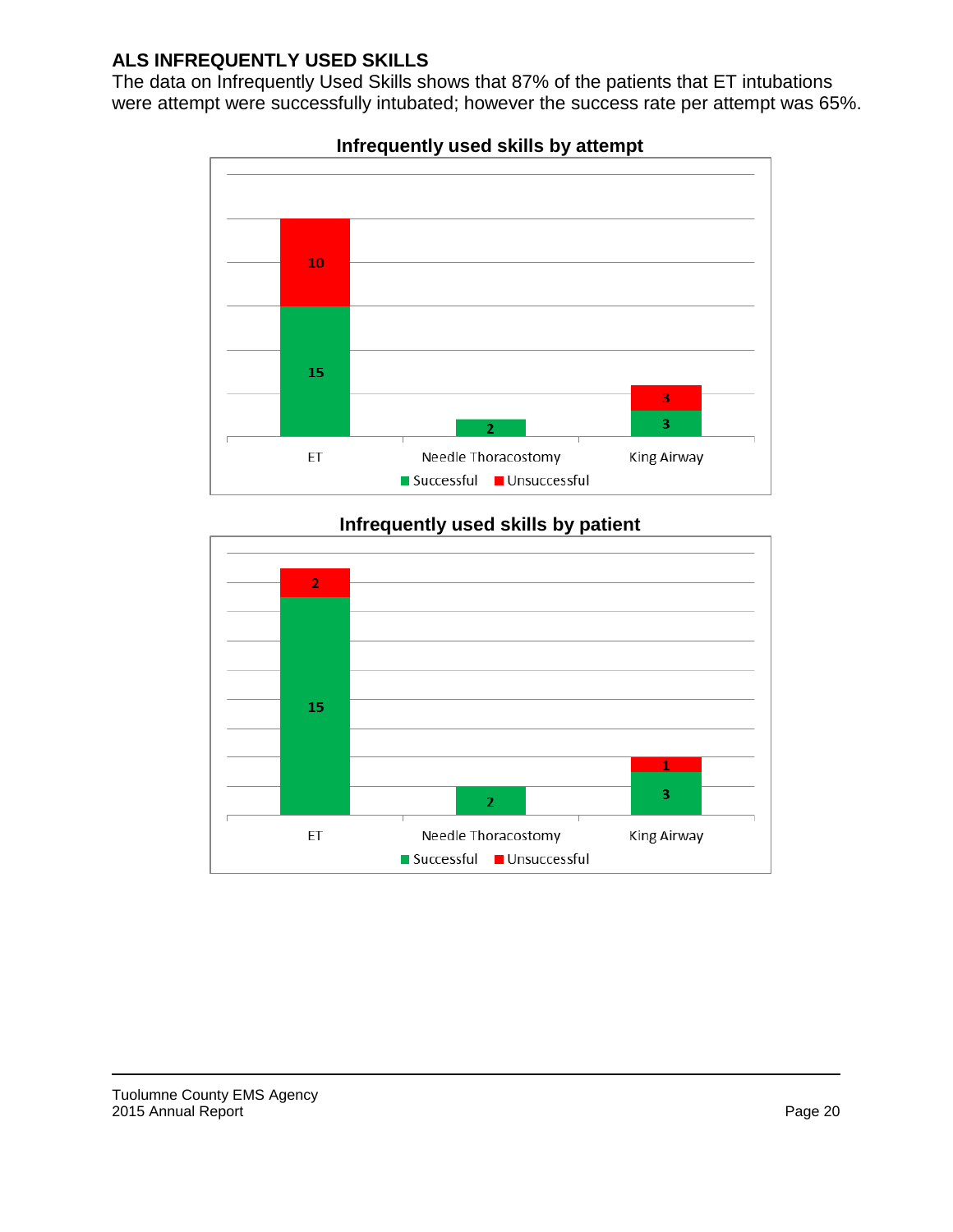# **ALS INFREQUENTLY USED SKILLS**

The data on Infrequently Used Skills shows that 87% of the patients that ET intubations were attempt were successfully intubated; however the success rate per attempt was 65%.



# **Infrequently used skills by attempt**

### **Infrequently used skills by patient**

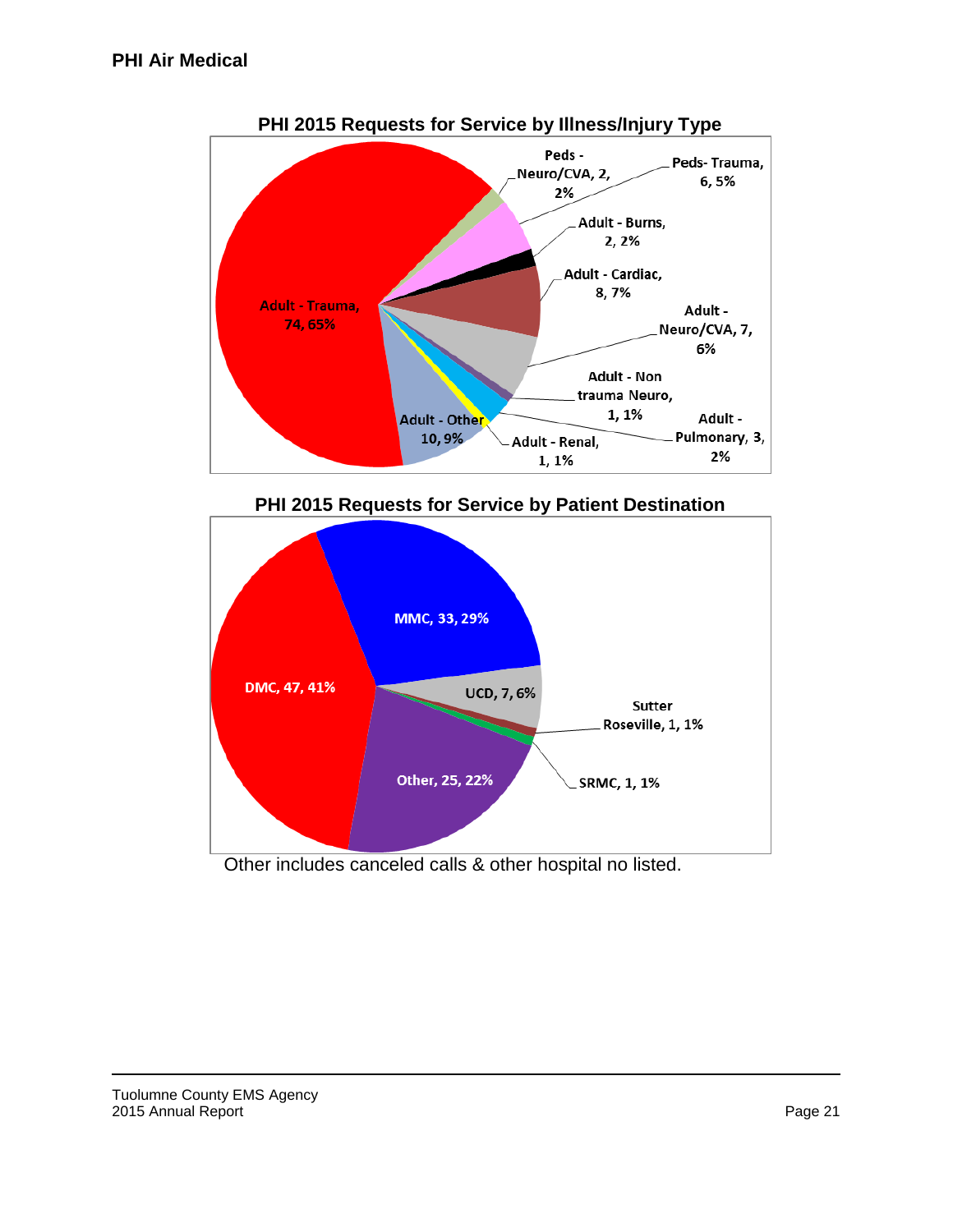







Other includes canceled calls & other hospital no listed.